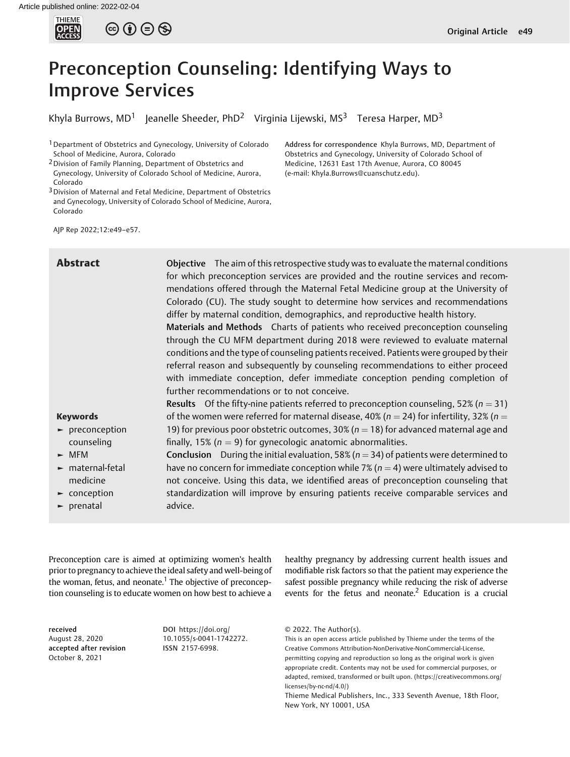

# Preconception Counseling: Identifying Ways to Improve Services

Khyla Burrows, MD<sup>1</sup> Jeanelle Sheeder, PhD<sup>2</sup> Virginia Lijewski, MS<sup>3</sup> Teresa Harper, MD<sup>3</sup>

<sup>1</sup> Department of Obstetrics and Gynecology, University of Colorado School of Medicine, Aurora, Colorado

- 2Division of Family Planning, Department of Obstetrics and Gynecology, University of Colorado School of Medicine, Aurora, Colorado
- 3Division of Maternal and Fetal Medicine, Department of Obstetrics and Gynecology, University of Colorado School of Medicine, Aurora, Colorado

Address for correspondence Khyla Burrows, MD, Department of Obstetrics and Gynecology, University of Colorado School of Medicine, 12631 East 17th Avenue, Aurora, CO 80045 (e-mail: [Khyla.Burrows@cuanschutz.edu](mailto:Khyla.Burrows@cuanschutz.edu)).

AJP Rep 2022;12:e49–e57.

Abstract Objective The aim of this retrospective study was to evaluate the maternal conditions for which preconception services are provided and the routine services and recommendations offered through the Maternal Fetal Medicine group at the University of Colorado (CU). The study sought to determine how services and recommendations differ by maternal condition, demographics, and reproductive health history.

> Materials and Methods Charts of patients who received preconception counseling through the CU MFM department during 2018 were reviewed to evaluate maternal conditions and the type of counseling patients received. Patients were grouped by their referral reason and subsequently by counseling recommendations to either proceed with immediate conception, defer immediate conception pending completion of further recommendations or to not conceive.

#### Keywords

- ► preconception counseling
- ► MFM
- ► maternal-fetal medicine
- ► conception
- ► prenatal

**Results** Of the fifty-nine patients referred to preconception counseling, 52% ( $n = 31$ ) of the women were referred for maternal disease, 40% ( $n = 24$ ) for infertility, 32% ( $n =$ 19) for previous poor obstetric outcomes, 30% ( $n = 18$ ) for advanced maternal age and finally, 15% ( $n = 9$ ) for gynecologic anatomic abnormalities.

**Conclusion** During the initial evaluation, 58% ( $n = 34$ ) of patients were determined to have no concern for immediate conception while 7% ( $n = 4$ ) were ultimately advised to not conceive. Using this data, we identified areas of preconception counseling that standardization will improve by ensuring patients receive comparable services and advice.

Preconception care is aimed at optimizing women's health prior to pregnancy to achieve the ideal safety and well-being of the woman, fetus, and neonate.<sup>1</sup> The objective of preconception counseling is to educate women on how best to achieve a

healthy pregnancy by addressing current health issues and modifiable risk factors so that the patient may experience the safest possible pregnancy while reducing the risk of adverse events for the fetus and neonate.<sup>2</sup> Education is a crucial

received August 28, 2020 accepted after revision October 8, 2021

DOI [https://doi.org/](https://doi.org/10.1055/s-0041-1742272) [10.1055/s-0041-1742272](https://doi.org/10.1055/s-0041-1742272). ISSN 2157-6998.

<sup>© 2022.</sup> The Author(s).

This is an open access article published by Thieme under the terms of the Creative Commons Attribution-NonDerivative-NonCommercial-License, permitting copying and reproduction so long as the original work is given appropriate credit. Contents may not be used for commercial purposes, or adapted, remixed, transformed or built upon. (https://creativecommons.org/ licenses/by-nc-nd/4.0/)

Thieme Medical Publishers, Inc., 333 Seventh Avenue, 18th Floor, New York, NY 10001, USA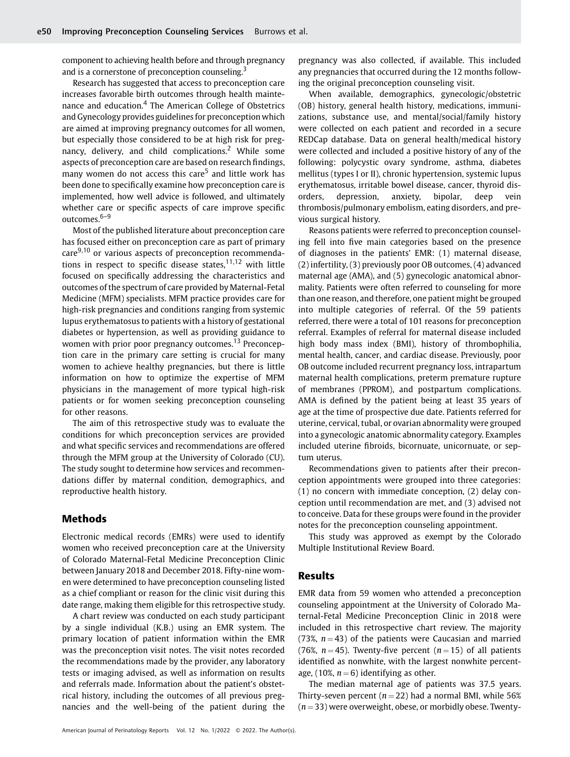component to achieving health before and through pregnancy and is a cornerstone of preconception counseling.<sup>3</sup>

Research has suggested that access to preconception care increases favorable birth outcomes through health maintenance and education.<sup>4</sup> The American College of Obstetrics and Gynecology provides guidelines for preconception which are aimed at improving pregnancy outcomes for all women, but especially those considered to be at high risk for pregnancy, delivery, and child complications.<sup>2</sup> While some aspects of preconception care are based on research findings, many women do not access this care<sup>5</sup> and little work has been done to specifically examine how preconception care is implemented, how well advice is followed, and ultimately whether care or specific aspects of care improve specific outcomes.<sup>6-9</sup>

Most of the published literature about preconception care has focused either on preconception care as part of primary care<sup>9,10</sup> or various aspects of preconception recommendations in respect to specific disease states, $11,12$  with little focused on specifically addressing the characteristics and outcomes of the spectrum of care provided by Maternal-Fetal Medicine (MFM) specialists. MFM practice provides care for high-risk pregnancies and conditions ranging from systemic lupus erythematosus to patients with a history of gestational diabetes or hypertension, as well as providing guidance to women with prior poor pregnancy outcomes.<sup>13</sup> Preconception care in the primary care setting is crucial for many women to achieve healthy pregnancies, but there is little information on how to optimize the expertise of MFM physicians in the management of more typical high-risk patients or for women seeking preconception counseling for other reasons.

The aim of this retrospective study was to evaluate the conditions for which preconception services are provided and what specific services and recommendations are offered through the MFM group at the University of Colorado (CU). The study sought to determine how services and recommendations differ by maternal condition, demographics, and reproductive health history.

## Methods

Electronic medical records (EMRs) were used to identify women who received preconception care at the University of Colorado Maternal-Fetal Medicine Preconception Clinic between January 2018 and December 2018. Fifty-nine women were determined to have preconception counseling listed as a chief compliant or reason for the clinic visit during this date range, making them eligible for this retrospective study.

A chart review was conducted on each study participant by a single individual (K.B.) using an EMR system. The primary location of patient information within the EMR was the preconception visit notes. The visit notes recorded the recommendations made by the provider, any laboratory tests or imaging advised, as well as information on results and referrals made. Information about the patient's obstetrical history, including the outcomes of all previous pregnancies and the well-being of the patient during the pregnancy was also collected, if available. This included any pregnancies that occurred during the 12 months following the original preconception counseling visit.

When available, demographics, gynecologic/obstetric (OB) history, general health history, medications, immunizations, substance use, and mental/social/family history were collected on each patient and recorded in a secure REDCap database. Data on general health/medical history were collected and included a positive history of any of the following: polycystic ovary syndrome, asthma, diabetes mellitus (types I or II), chronic hypertension, systemic lupus erythematosus, irritable bowel disease, cancer, thyroid disorders, depression, anxiety, bipolar, deep vein thrombosis/pulmonary embolism, eating disorders, and previous surgical history.

Reasons patients were referred to preconception counseling fell into five main categories based on the presence of diagnoses in the patients' EMR: (1) maternal disease, (2) infertility, (3) previously poor OB outcomes, (4) advanced maternal age (AMA), and (5) gynecologic anatomical abnormality. Patients were often referred to counseling for more than one reason, and therefore, one patient might be grouped into multiple categories of referral. Of the 59 patients referred, there were a total of 101 reasons for preconception referral. Examples of referral for maternal disease included high body mass index (BMI), history of thrombophilia, mental health, cancer, and cardiac disease. Previously, poor OB outcome included recurrent pregnancy loss, intrapartum maternal health complications, preterm premature rupture of membranes (PPROM), and postpartum complications. AMA is defined by the patient being at least 35 years of age at the time of prospective due date. Patients referred for uterine, cervical, tubal, or ovarian abnormality were grouped into a gynecologic anatomic abnormality category. Examples included uterine fibroids, bicornuate, unicornuate, or septum uterus.

Recommendations given to patients after their preconception appointments were grouped into three categories: (1) no concern with immediate conception, (2) delay conception until recommendation are met, and (3) advised not to conceive. Data for these groups were found in the provider notes for the preconception counseling appointment.

This study was approved as exempt by the Colorado Multiple Institutional Review Board.

#### Results

EMR data from 59 women who attended a preconception counseling appointment at the University of Colorado Maternal-Fetal Medicine Preconception Clinic in 2018 were included in this retrospective chart review. The majority (73%,  $n = 43$ ) of the patients were Caucasian and married (76%,  $n = 45$ ). Twenty-five percent ( $n = 15$ ) of all patients identified as nonwhite, with the largest nonwhite percentage, (10%,  $n = 6$ ) identifying as other.

The median maternal age of patients was 37.5 years. Thirty-seven percent ( $n = 22$ ) had a normal BMI, while 56%  $(n = 33)$  were overweight, obese, or morbidly obese. Twenty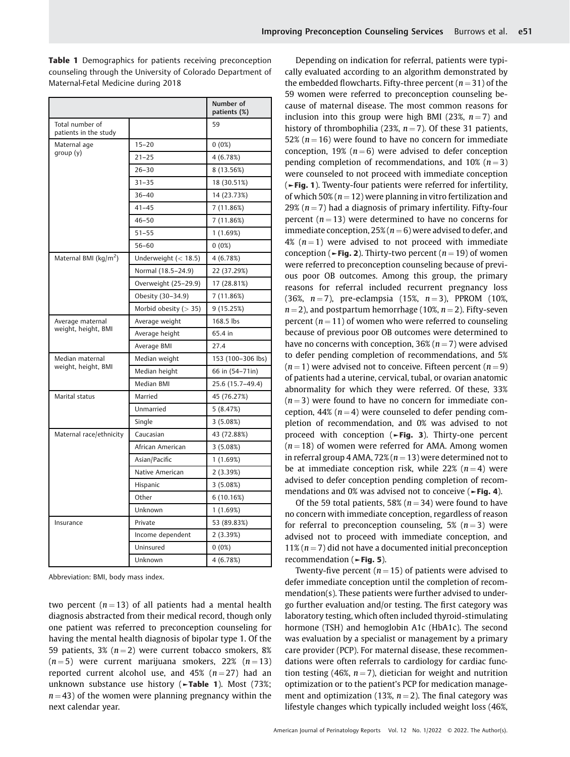Table 1 Demographics for patients receiving preconception counseling through the University of Colorado Department of Maternal-Fetal Medicine during 2018

|                                          |                         | Number of<br>patients (%) |
|------------------------------------------|-------------------------|---------------------------|
| Total number of<br>patients in the study |                         | 59                        |
| Maternal age<br>group(y)                 | $15 - 20$               | 0(0%)                     |
|                                          | $21 - 25$               | 4 (6.78%)                 |
|                                          | $26 - 30$               | 8 (13.56%)                |
|                                          | $31 - 35$               | 18 (30.51%)               |
|                                          | $36 - 40$               | 14 (23.73%)               |
|                                          | $41 - 45$               | 7 (11.86%)                |
|                                          | $46 - 50$               | 7 (11.86%)                |
|                                          | $51 - 55$               | 1(1.69%)                  |
|                                          | $56 - 60$               | $0(0\%)$                  |
| Maternal BMI (kg/m <sup>2</sup> )        | Underweight $(< 18.5)$  | 4 (6.78%)                 |
|                                          | Normal (18.5-24.9)      | 22 (37.29%)               |
|                                          | Overweight (25-29.9)    | 17 (28.81%)               |
|                                          | Obesity (30-34.9)       | 7 (11.86%)                |
|                                          | Morbid obesity $(> 35)$ | 9 (15.25%)                |
| Average maternal<br>weight, height, BMI  | Average weight          | 168.5 lbs                 |
|                                          | Average height          | 65.4 in                   |
|                                          | Average BMI             | 27.4                      |
| Median maternal<br>weight, height, BMI   | Median weight           | 153 (100-306 lbs)         |
|                                          | Median height           | 66 in (54-71in)           |
|                                          | Median BMI              | 25.6 (15.7-49.4)          |
| Marital status                           | Married                 | 45 (76.27%)               |
|                                          | Unmarried               | 5(8.47%)                  |
|                                          | Single                  | 3(5.08%)                  |
| Maternal race/ethnicity                  | Caucasian               | 43 (72.88%)               |
|                                          | African American        | 3(5.08%)                  |
|                                          | Asian/Pacific           | 1 (1.69%)                 |
|                                          | Native American         | 2 (3.39%)                 |
|                                          | Hispanic                | 3(5.08%)                  |
|                                          | Other                   | 6(10.16%)                 |
|                                          | Unknown                 | 1(1.69%)                  |
| Insurance                                | Private                 | 53 (89.83%)               |
|                                          | Income dependent        | 2 (3.39%)                 |
|                                          | Uninsured               | 0(0%)                     |
|                                          | Unknown                 | 4(6.78%)                  |

Abbreviation: BMI, body mass index.

two percent ( $n = 13$ ) of all patients had a mental health diagnosis abstracted from their medical record, though only one patient was referred to preconception counseling for having the mental health diagnosis of bipolar type 1. Of the 59 patients, 3% ( $n = 2$ ) were current tobacco smokers, 8%  $(n = 5)$  were current marijuana smokers, 22%  $(n = 13)$ reported current alcohol use, and  $45\%$  ( $n = 27$ ) had an unknown substance use history (►Table 1). Most (73%;  $n = 43$ ) of the women were planning pregnancy within the next calendar year.

Depending on indication for referral, patients were typically evaluated according to an algorithm demonstrated by the embedded flowcharts. Fifty-three percent ( $n = 31$ ) of the 59 women were referred to preconception counseling because of maternal disease. The most common reasons for inclusion into this group were high BMI (23%,  $n = 7$ ) and history of thrombophilia (23%,  $n = 7$ ). Of these 31 patients, 52% ( $n = 16$ ) were found to have no concern for immediate conception, 19% ( $n = 6$ ) were advised to defer conception pending completion of recommendations, and  $10\%$  ( $n=3$ ) were counseled to not proceed with immediate conception (►Fig. 1). Twenty-four patients were referred for infertility, of which 50% ( $n = 12$ ) were planning in vitro fertilization and 29% ( $n = 7$ ) had a diagnosis of primary infertility. Fifty-four percent ( $n = 13$ ) were determined to have no concerns for immediate conception,  $25\%$  ( $n = 6$ ) were advised to defer, and 4% ( $n = 1$ ) were advised to not proceed with immediate conception ( $\blacktriangleright$ Fig. 2). Thirty-two percent ( $n = 19$ ) of women were referred to preconception counseling because of previous poor OB outcomes. Among this group, the primary reasons for referral included recurrent pregnancy loss (36%,  $n = 7$ ), pre-eclampsia (15%,  $n = 3$ ), PPROM (10%,  $n = 2$ ), and postpartum hemorrhage (10%,  $n = 2$ ). Fifty-seven percent ( $n = 11$ ) of women who were referred to counseling because of previous poor OB outcomes were determined to have no concerns with conception,  $36\%$  ( $n = 7$ ) were advised to defer pending completion of recommendations, and 5%  $(n = 1)$  were advised not to conceive. Fifteen percent  $(n = 9)$ of patients had a uterine, cervical, tubal, or ovarian anatomic abnormality for which they were referred. Of these, 33%  $(n = 3)$  were found to have no concern for immediate conception, 44% ( $n = 4$ ) were counseled to defer pending completion of recommendation, and 0% was advised to not proceed with conception (►Fig. 3). Thirty-one percent  $(n = 18)$  of women were referred for AMA. Among women in referral group 4 AMA, 72% ( $n = 13$ ) were determined not to be at immediate conception risk, while 22%  $(n=4)$  were advised to defer conception pending completion of recommendations and 0% was advised not to conceive (►Fig. 4).

Of the 59 total patients, 58% ( $n = 34$ ) were found to have no concern with immediate conception, regardless of reason for referral to preconception counseling, 5%  $(n=3)$  were advised not to proceed with immediate conception, and 11% ( $n = 7$ ) did not have a documented initial preconception recommendation (►Fig. 5).

Twenty-five percent ( $n = 15$ ) of patients were advised to defer immediate conception until the completion of recommendation(s). These patients were further advised to undergo further evaluation and/or testing. The first category was laboratory testing, which often included thyroid-stimulating hormone (TSH) and hemoglobin A1c (HbA1c). The second was evaluation by a specialist or management by a primary care provider (PCP). For maternal disease, these recommendations were often referrals to cardiology for cardiac function testing (46%,  $n = 7$ ), dietician for weight and nutrition optimization or to the patient's PCP for medication management and optimization (13%,  $n = 2$ ). The final category was lifestyle changes which typically included weight loss (46%,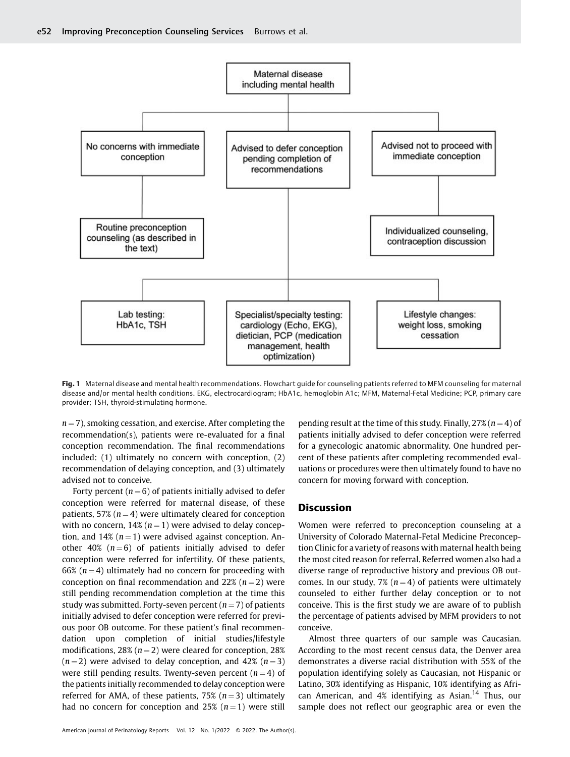

Fig. 1 Maternal disease and mental health recommendations. Flowchart quide for counseling patients referred to MFM counseling for maternal disease and/or mental health conditions. EKG, electrocardiogram; HbA1c, hemoglobin A1c; MFM, Maternal-Fetal Medicine; PCP, primary care provider; TSH, thyroid-stimulating hormone.

 $n = 7$ ), smoking cessation, and exercise. After completing the recommendation(s), patients were re-evaluated for a final conception recommendation. The final recommendations included: (1) ultimately no concern with conception, (2) recommendation of delaying conception, and (3) ultimately advised not to conceive.

Forty percent ( $n = 6$ ) of patients initially advised to defer conception were referred for maternal disease, of these patients, 57% ( $n = 4$ ) were ultimately cleared for conception with no concern, 14% ( $n = 1$ ) were advised to delay conception, and 14%  $(n = 1)$  were advised against conception. Another 40% ( $n = 6$ ) of patients initially advised to defer conception were referred for infertility. Of these patients, 66% ( $n = 4$ ) ultimately had no concern for proceeding with conception on final recommendation and 22% ( $n = 2$ ) were still pending recommendation completion at the time this study was submitted. Forty-seven percent  $(n = 7)$  of patients initially advised to defer conception were referred for previous poor OB outcome. For these patient's final recommendation upon completion of initial studies/lifestyle modifications, 28% ( $n = 2$ ) were cleared for conception, 28%  $(n = 2)$  were advised to delay conception, and 42%  $(n = 3)$ were still pending results. Twenty-seven percent  $(n = 4)$  of the patients initially recommended to delay conception were referred for AMA, of these patients, 75% ( $n = 3$ ) ultimately had no concern for conception and 25%  $(n=1)$  were still

American Journal of Perinatology Reports Vol. 12 No. 1/2022 © 2022. The Author(s).

pending result at the time of this study. Finally,  $27\%$  ( $n = 4$ ) of patients initially advised to defer conception were referred for a gynecologic anatomic abnormality. One hundred percent of these patients after completing recommended evaluations or procedures were then ultimately found to have no concern for moving forward with conception.

#### **Discussion**

Women were referred to preconception counseling at a University of Colorado Maternal-Fetal Medicine Preconception Clinic for a variety of reasons with maternal health being the most cited reason for referral. Referred women also had a diverse range of reproductive history and previous OB outcomes. In our study, 7% ( $n = 4$ ) of patients were ultimately counseled to either further delay conception or to not conceive. This is the first study we are aware of to publish the percentage of patients advised by MFM providers to not conceive.

Almost three quarters of our sample was Caucasian. According to the most recent census data, the Denver area demonstrates a diverse racial distribution with 55% of the population identifying solely as Caucasian, not Hispanic or Latino, 30% identifying as Hispanic, 10% identifying as African American, and  $4\%$  identifying as Asian.<sup>14</sup> Thus, our sample does not reflect our geographic area or even the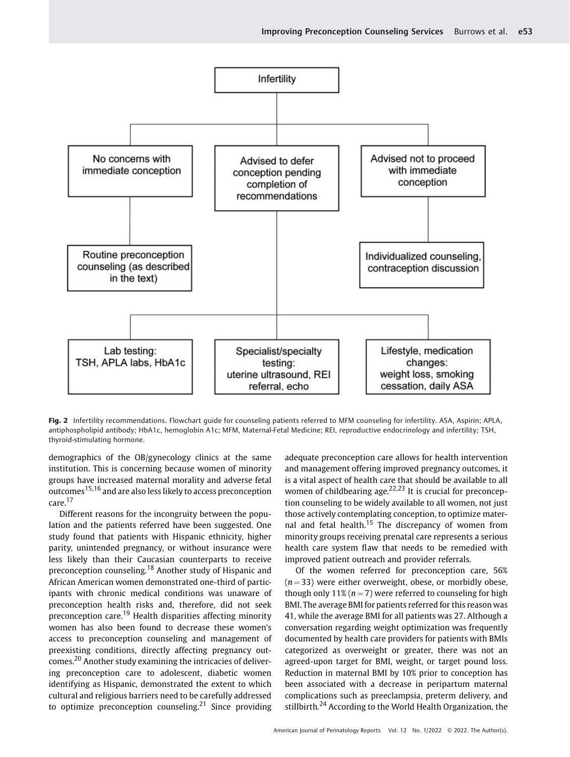

Fig. 2 Infertility recommendations. Flowchart guide for counseling patients referred to MFM counseling for infertility. ASA, Aspirin; APLA, antiphospholipid antibody; HbA1c, hemoglobin A1c; MFM, Maternal-Fetal Medicine; REI, reproductive endocrinology and infertility; TSH, thyroid-stimulating hormone.

demographics of the OB/gynecology clinics at the same institution. This is concerning because women of minority groups have increased maternal morality and adverse fetal outcomes<sup>15,16</sup> and are also less likely to access preconception care.<sup>17</sup>

Different reasons for the incongruity between the population and the patients referred have been suggested. One study found that patients with Hispanic ethnicity, higher parity, unintended pregnancy, or without insurance were less likely than their Caucasian counterparts to receive preconception counseling.<sup>18</sup> Another study of Hispanic and African American women demonstrated one-third of participants with chronic medical conditions was unaware of preconception health risks and, therefore, did not seek preconception care.<sup>19</sup> Health disparities affecting minority women has also been found to decrease these women's access to preconception counseling and management of preexisting conditions, directly affecting pregnancy outcomes.<sup>20</sup> Another study examining the intricacies of delivering preconception care to adolescent, diabetic women identifying as Hispanic, demonstrated the extent to which cultural and religious barriers need to be carefully addressed to optimize preconception counseling.<sup>21</sup> Since providing adequate preconception care allows for health intervention and management offering improved pregnancy outcomes, it is a vital aspect of health care that should be available to all women of childbearing age. $22,23$  It is crucial for preconception counseling to be widely available to all women, not just those actively contemplating conception, to optimize maternal and fetal health.<sup>15</sup> The discrepancy of women from minority groups receiving prenatal care represents a serious health care system flaw that needs to be remedied with improved patient outreach and provider referrals.

Of the women referred for preconception care, 56%  $(n = 33)$  were either overweight, obese, or morbidly obese, though only 11% ( $n = 7$ ) were referred to counseling for high BMI. The average BMI for patients referred for this reason was 41, while the average BMI for all patients was 27. Although a conversation regarding weight optimization was frequently documented by health care providers for patients with BMIs categorized as overweight or greater, there was not an agreed-upon target for BMI, weight, or target pound loss. Reduction in maternal BMI by 10% prior to conception has been associated with a decrease in peripartum maternal complications such as preeclampsia, preterm delivery, and stillbirth.<sup>24</sup> According to the World Health Organization, the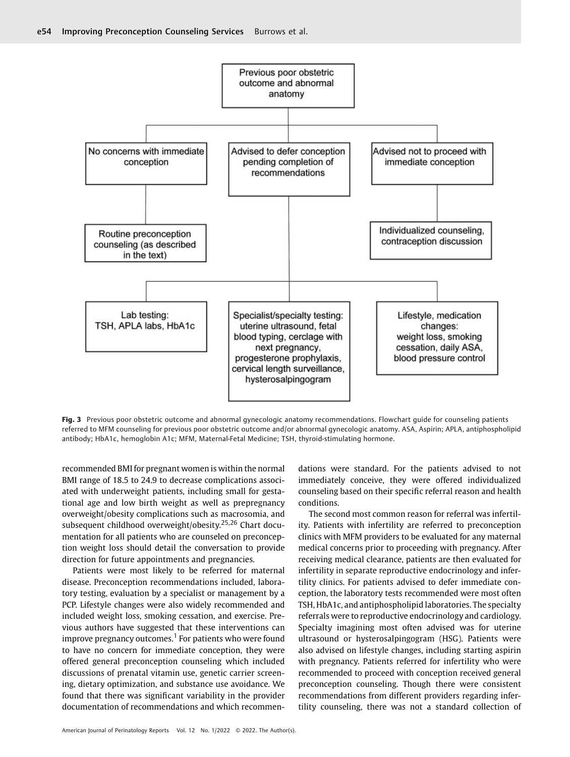

Fig. 3 Previous poor obstetric outcome and abnormal gynecologic anatomy recommendations. Flowchart guide for counseling patients referred to MFM counseling for previous poor obstetric outcome and/or abnormal gynecologic anatomy. ASA, Aspirin; APLA, antiphospholipid antibody; HbA1c, hemoglobin A1c; MFM, Maternal-Fetal Medicine; TSH, thyroid-stimulating hormone.

recommended BMI for pregnant women is within the normal BMI range of 18.5 to 24.9 to decrease complications associated with underweight patients, including small for gestational age and low birth weight as well as prepregnancy overweight/obesity complications such as macrosomia, and subsequent childhood overweight/obesity.<sup>25,26</sup> Chart documentation for all patients who are counseled on preconception weight loss should detail the conversation to provide direction for future appointments and pregnancies.

Patients were most likely to be referred for maternal disease. Preconception recommendations included, laboratory testing, evaluation by a specialist or management by a PCP. Lifestyle changes were also widely recommended and included weight loss, smoking cessation, and exercise. Previous authors have suggested that these interventions can improve pregnancy outcomes.<sup>1</sup> For patients who were found to have no concern for immediate conception, they were offered general preconception counseling which included discussions of prenatal vitamin use, genetic carrier screening, dietary optimization, and substance use avoidance. We found that there was significant variability in the provider documentation of recommendations and which recommendations were standard. For the patients advised to not immediately conceive, they were offered individualized counseling based on their specific referral reason and health conditions.

The second most common reason for referral was infertility. Patients with infertility are referred to preconception clinics with MFM providers to be evaluated for any maternal medical concerns prior to proceeding with pregnancy. After receiving medical clearance, patients are then evaluated for infertility in separate reproductive endocrinology and infertility clinics. For patients advised to defer immediate conception, the laboratory tests recommended were most often TSH, HbA1c, and antiphospholipid laboratories. The specialty referrals were to reproductive endocrinology and cardiology. Specialty imagining most often advised was for uterine ultrasound or hysterosalpingogram (HSG). Patients were also advised on lifestyle changes, including starting aspirin with pregnancy. Patients referred for infertility who were recommended to proceed with conception received general preconception counseling. Though there were consistent recommendations from different providers regarding infertility counseling, there was not a standard collection of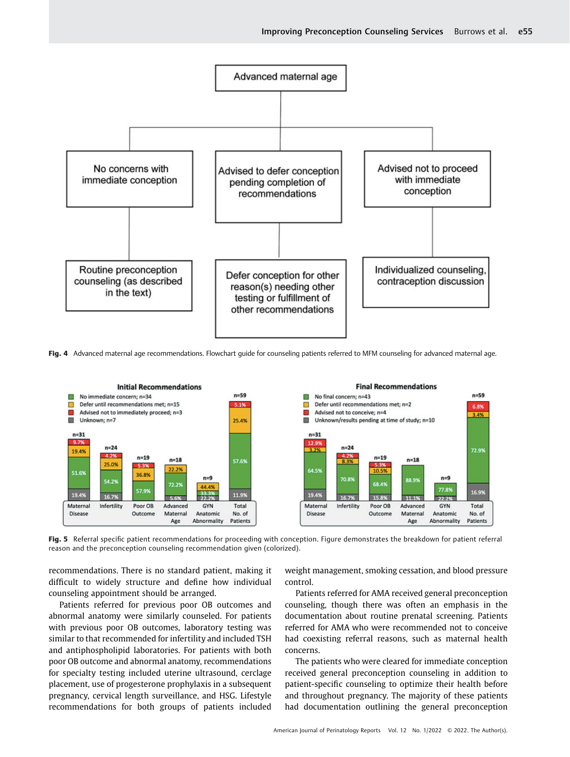

Fig. 4 Advanced maternal age recommendations. Flowchart quide for counseling patients referred to MFM counseling for advanced maternal age.



Fig. 5 Referral specific patient recommendations for proceeding with conception. Figure demonstrates the breakdown for patient referral reason and the preconception counseling recommendation given (colorized).

recommendations. There is no standard patient, making it difficult to widely structure and define how individual counseling appointment should be arranged.

Patients referred for previous poor OB outcomes and abnormal anatomy were similarly counseled. For patients with previous poor OB outcomes, laboratory testing was similar to that recommended for infertility and included TSH and antiphospholipid laboratories. For patients with both poor OB outcome and abnormal anatomy, recommendations for specialty testing included uterine ultrasound, cerclage placement, use of progesterone prophylaxis in a subsequent pregnancy, cervical length surveillance, and HSG. Lifestyle recommendations for both groups of patients included

weight management, smoking cessation, and blood pressure control.

Patients referred for AMA received general preconception counseling, though there was often an emphasis in the documentation about routine prenatal screening. Patients referred for AMA who were recommended not to conceive had coexisting referral reasons, such as maternal health concerns.

The patients who were cleared for immediate conception received general preconception counseling in addition to patient-specific counseling to optimize their health before and throughout pregnancy. The majority of these patients had documentation outlining the general preconception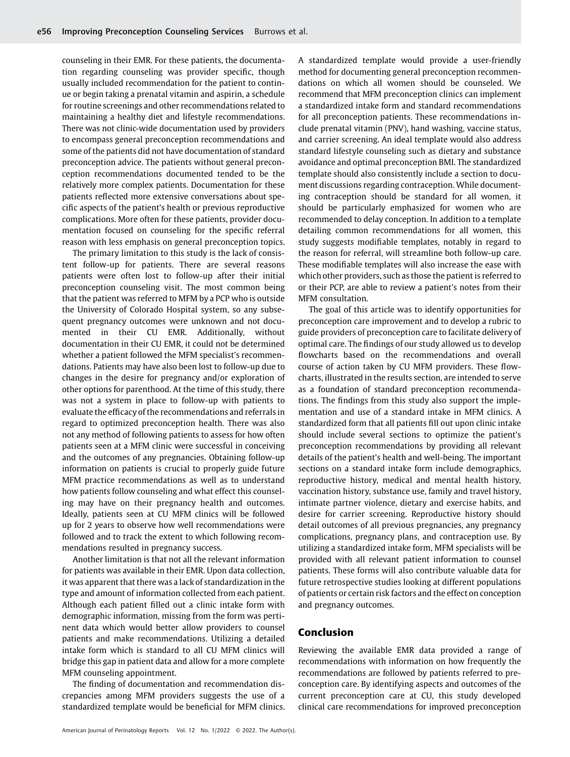counseling in their EMR. For these patients, the documentation regarding counseling was provider specific, though usually included recommendation for the patient to continue or begin taking a prenatal vitamin and aspirin, a schedule for routine screenings and other recommendations related to maintaining a healthy diet and lifestyle recommendations. There was not clinic-wide documentation used by providers to encompass general preconception recommendations and some of the patients did not have documentation of standard preconception advice. The patients without general preconception recommendations documented tended to be the relatively more complex patients. Documentation for these patients reflected more extensive conversations about specific aspects of the patient's health or previous reproductive complications. More often for these patients, provider documentation focused on counseling for the specific referral reason with less emphasis on general preconception topics.

The primary limitation to this study is the lack of consistent follow-up for patients. There are several reasons patients were often lost to follow-up after their initial preconception counseling visit. The most common being that the patient was referred to MFM by a PCP who is outside the University of Colorado Hospital system, so any subsequent pregnancy outcomes were unknown and not documented in their CU EMR. Additionally, without documentation in their CU EMR, it could not be determined whether a patient followed the MFM specialist's recommendations. Patients may have also been lost to follow-up due to changes in the desire for pregnancy and/or exploration of other options for parenthood. At the time of this study, there was not a system in place to follow-up with patients to evaluate the efficacy of the recommendations and referrals in regard to optimized preconception health. There was also not any method of following patients to assess for how often patients seen at a MFM clinic were successful in conceiving and the outcomes of any pregnancies. Obtaining follow-up information on patients is crucial to properly guide future MFM practice recommendations as well as to understand how patients follow counseling and what effect this counseling may have on their pregnancy health and outcomes. Ideally, patients seen at CU MFM clinics will be followed up for 2 years to observe how well recommendations were followed and to track the extent to which following recommendations resulted in pregnancy success.

Another limitation is that not all the relevant information for patients was available in their EMR. Upon data collection, it was apparent that there was a lack of standardization in the type and amount of information collected from each patient. Although each patient filled out a clinic intake form with demographic information, missing from the form was pertinent data which would better allow providers to counsel patients and make recommendations. Utilizing a detailed intake form which is standard to all CU MFM clinics will bridge this gap in patient data and allow for a more complete MFM counseling appointment.

The finding of documentation and recommendation discrepancies among MFM providers suggests the use of a standardized template would be beneficial for MFM clinics.

A standardized template would provide a user-friendly method for documenting general preconception recommendations on which all women should be counseled. We recommend that MFM preconception clinics can implement a standardized intake form and standard recommendations for all preconception patients. These recommendations include prenatal vitamin (PNV), hand washing, vaccine status, and carrier screening. An ideal template would also address standard lifestyle counseling such as dietary and substance avoidance and optimal preconception BMI. The standardized template should also consistently include a section to document discussions regarding contraception. While documenting contraception should be standard for all women, it should be particularly emphasized for women who are recommended to delay conception. In addition to a template detailing common recommendations for all women, this study suggests modifiable templates, notably in regard to the reason for referral, will streamline both follow-up care. These modifiable templates will also increase the ease with which other providers, such as those the patient is referred to or their PCP, are able to review a patient's notes from their MFM consultation.

The goal of this article was to identify opportunities for preconception care improvement and to develop a rubric to guide providers of preconception care to facilitate delivery of optimal care. The findings of our study allowed us to develop flowcharts based on the recommendations and overall course of action taken by CU MFM providers. These flowcharts, illustrated in the results section, are intended to serve as a foundation of standard preconception recommendations. The findings from this study also support the implementation and use of a standard intake in MFM clinics. A standardized form that all patients fill out upon clinic intake should include several sections to optimize the patient's preconception recommendations by providing all relevant details of the patient's health and well-being. The important sections on a standard intake form include demographics, reproductive history, medical and mental health history, vaccination history, substance use, family and travel history, intimate partner violence, dietary and exercise habits, and desire for carrier screening. Reproductive history should detail outcomes of all previous pregnancies, any pregnancy complications, pregnancy plans, and contraception use. By utilizing a standardized intake form, MFM specialists will be provided with all relevant patient information to counsel patients. These forms will also contribute valuable data for future retrospective studies looking at different populations of patients or certain risk factors and the effect on conception and pregnancy outcomes.

### Conclusion

Reviewing the available EMR data provided a range of recommendations with information on how frequently the recommendations are followed by patients referred to preconception care. By identifying aspects and outcomes of the current preconception care at CU, this study developed clinical care recommendations for improved preconception